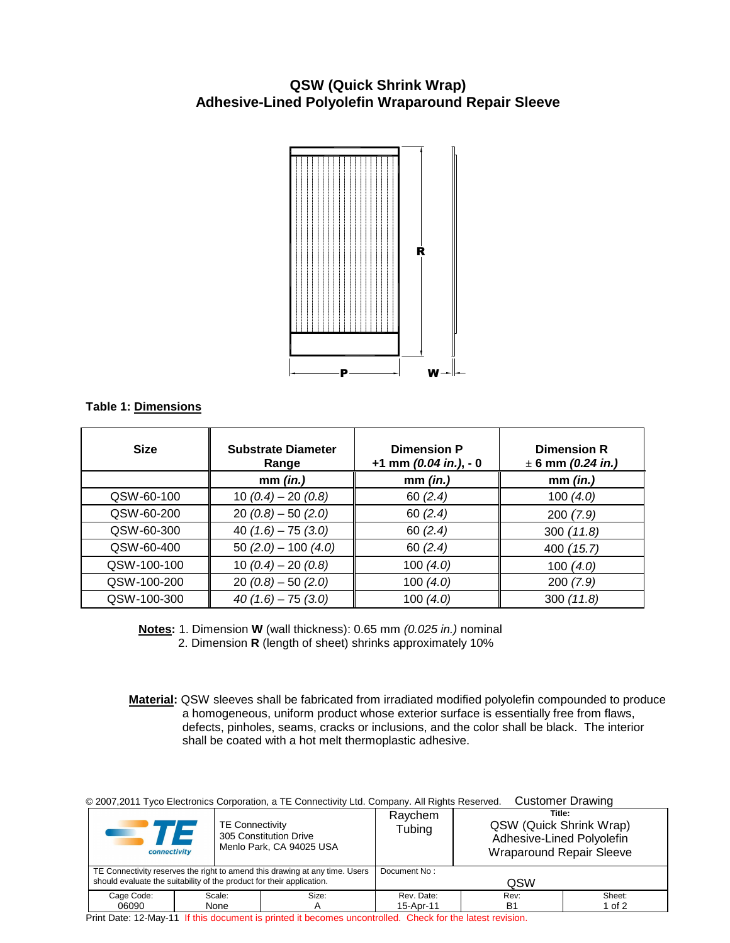## **QSW (Quick Shrink Wrap) Adhesive-Lined Polyolefin Wraparound Repair Sleeve**



## **Table 1: Dimensions**

| <b>Size</b> | <b>Substrate Diameter</b><br>Range | <b>Dimension P</b><br>+1 mm $(0.04$ in.), $-0$ | <b>Dimension R</b><br>$± 6$ mm (0.24 in.) |
|-------------|------------------------------------|------------------------------------------------|-------------------------------------------|
|             | mm (in.)                           | mm (in.)                                       | mm (in.)                                  |
| QSW-60-100  | $10(0.4) - 20(0.8)$                | 60(2.4)                                        | 100 $(4.0)$                               |
| QSW-60-200  | $20(0.8) - 50(2.0)$                | 60(2.4)                                        | 200(7.9)                                  |
| QSW-60-300  | 40 $(1.6) - 75(3.0)$               | 60(2.4)                                        | 300(11.8)                                 |
| QSW-60-400  | 50 $(2.0) - 100 (4.0)$             | 60(2.4)                                        | 400 (15.7)                                |
| QSW-100-100 | $10(0.4) - 20(0.8)$                | 100 $(4.0)$                                    | 100(4.0)                                  |
| QSW-100-200 | $20(0.8) - 50(2.0)$                | 100 $(4.0)$                                    | 200(7.9)                                  |
| QSW-100-300 | $40(1.6) - 75(3.0)$                | 100 $(4.0)$                                    | 300(11.8)                                 |

 **Notes:** 1. Dimension **W** (wall thickness): 0.65 mm (0.025 in.) nominal 2. Dimension **R** (length of sheet) shrinks approximately 10%

**Material:** QSW sleeves shall be fabricated from irradiated modified polyolefin compounded to produce a homogeneous, uniform product whose exterior surface is essentially free from flaws, defects, pinholes, seams, cracks or inclusions, and the color shall be black. The interior shall be coated with a hot melt thermoplastic adhesive.

| <b>Customer Drawing</b><br>© 2007, 2011 Tyco Electronics Corporation, a TE Connectivity Ltd. Company. All Rights Reserved. |                                                                              |                   |                                                                                                   |          |  |  |
|----------------------------------------------------------------------------------------------------------------------------|------------------------------------------------------------------------------|-------------------|---------------------------------------------------------------------------------------------------|----------|--|--|
| 77 E<br>connectivity                                                                                                       | <b>TE Connectivity</b><br>305 Constitution Drive<br>Menlo Park, CA 94025 USA | Raychem<br>Tubing | Title:<br>QSW (Quick Shrink Wrap)<br>Adhesive-Lined Polyolefin<br><b>Wraparound Repair Sleeve</b> |          |  |  |
|                                                                                                                            | TE Connectivity reserves the right to amend this drawing at any time. Users  | Document No:      |                                                                                                   |          |  |  |
| should evaluate the suitability of the product for their application.                                                      |                                                                              | QSW               |                                                                                                   |          |  |  |
| Cage Code:                                                                                                                 | Scale:<br>Size:                                                              | Rev. Date:        | Rev:                                                                                              | Sheet:   |  |  |
| 06090                                                                                                                      | None<br>Α                                                                    | 15-Apr-11         | <b>B</b> 1                                                                                        | 1 of $2$ |  |  |

Print Date: 12-May-11 If this document is printed it becomes uncontrolled. Check for the latest revision.